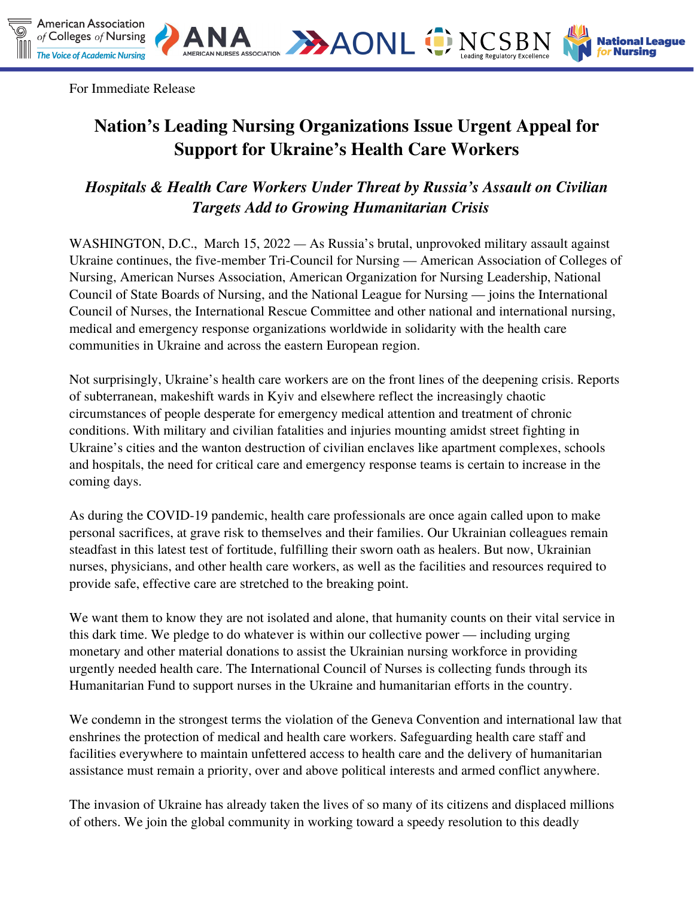

**HAONL ONCSBN** 

**National League** 

For Immediate Release

# **Nation's Leading Nursing Organizations Issue Urgent Appeal for Support for Ukraine's Health Care Workers**

## *Hospitals & Health Care Workers Under Threat by Russia's Assault on Civilian Targets Add to Growing Humanitarian Crisis*

WASHINGTON, D.C., March 15, 2022 — As Russia's brutal, unprovoked military assault against Ukraine continues, the five-member Tri-Council for Nursing — American Association of Colleges of Nursing, American Nurses Association, American Organization for Nursing Leadership, National Council of State Boards of Nursing, and the National League for Nursing — joins the International Council of Nurses, the International Rescue Committee and other national and international nursing, medical and emergency response organizations worldwide in solidarity with the health care communities in Ukraine and across the eastern European region.

Not surprisingly, Ukraine's health care workers are on the front lines of the deepening crisis. Reports of subterranean, makeshift wards in Kyiv and elsewhere reflect the increasingly chaotic circumstances of people desperate for emergency medical attention and treatment of chronic conditions. With military and civilian fatalities and injuries mounting amidst street fighting in Ukraine's cities and the wanton destruction of civilian enclaves like apartment complexes, schools and hospitals, the need for critical care and emergency response teams is certain to increase in the coming days.

As during the COVID-19 pandemic, health care professionals are once again called upon to make personal sacrifices, at grave risk to themselves and their families. Our Ukrainian colleagues remain steadfast in this latest test of fortitude, fulfilling their sworn oath as healers. But now, Ukrainian nurses, physicians, and other health care workers, as well as the facilities and resources required to provide safe, effective care are stretched to the breaking point.

We want them to know they are not isolated and alone, that humanity counts on their vital service in this dark time. We pledge to do whatever is within our collective power — including urging monetary and other material donations to assist the Ukrainian nursing workforce in providing urgently needed health care. The International Council of Nurses is collecting funds through its [Humanitarian](https://www.shop.icn.ch/collections/donations/products/icn-humanitarian-fund) Fund to support nurses in the Ukraine and humanitarian efforts in the country.

We condemn in the strongest terms the violation of the Geneva Convention and international law that enshrines the protection of medical and health care workers. Safeguarding health care staff and facilities everywhere to maintain unfettered access to health care and the delivery of humanitarian assistance must remain a priority, over and above political interests and armed conflict anywhere.

The invasion of Ukraine has already taken the lives of so many of its citizens and displaced millions of others. We join the global community in working toward a speedy resolution to this deadly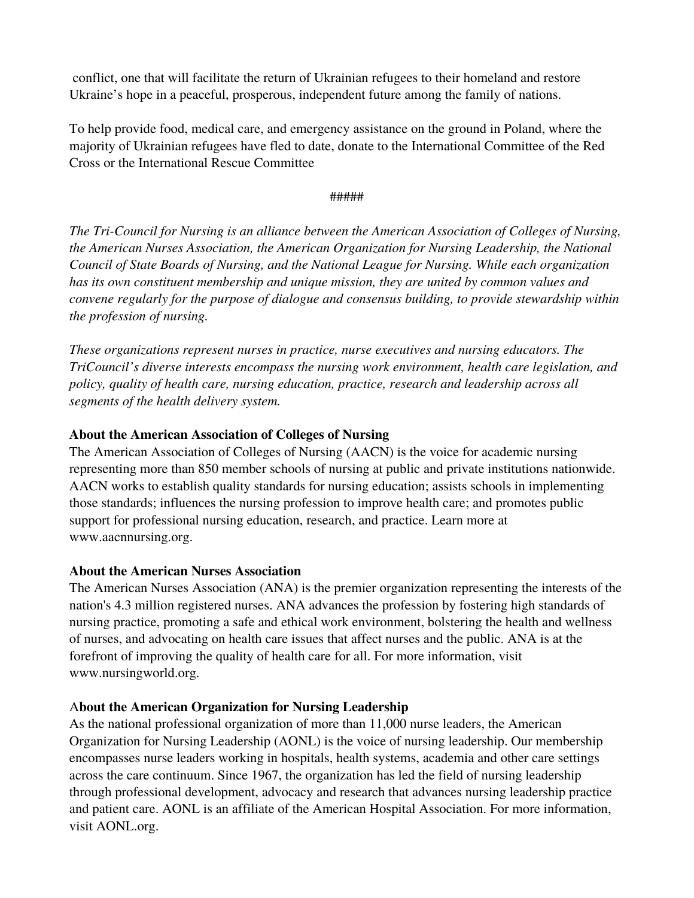conflict, one that will facilitate the return of Ukrainian refugees to their homeland and restore Ukraine's hope in a peaceful, prosperous, independent future among the family of nations.

To help provide food, medical care, and emergency assistance on the ground in Poland, where the majority of Ukrainian refugees have [fled to date, donate to the](https://www.icrc.org/en/where-we-work/europe-central-asia/ukraine) International Committee of the Red Cross or the [International](https://help.rescue.org/donate/ukraine-web?initialms=ws_modl_fy22_ukraine_mmus&ms=ws_modl_fy22_ukraine_mmus) Rescue Committee

#### #####

*The Tri-Council for Nursing is an alliance between the American Association of Colleges of Nursing, the American Nurses Association, the American Organization for Nursing Leadership, the National Council of State Boards of Nursing, and the National League for Nursing. While each organization has its own constituent membership and unique mission, they are united by common values and convene regularly for the purpose of dialogue and consensus building, to provide stewardship within the profession of nursing.*

*These organizations represent nurses in practice, nurse executives and nursing educators. The TriCouncil's diverse interests encompass the nursing work environment, health care legislation, and policy, quality of health care, nursing education, practice, research and leadership across all segments of the health delivery system.*

### **About the American Association of Colleges of Nursing**

The American Association of Colleges of Nursing (AACN) is the voice for academic nursing representing more than 850 member schools of nursing at public and private institutions nationwide. AACN works to establish quality standards for nursing education; assists schools in implementing those standards; influences the nursing profession to improve health care; and promotes public support for professional nursing education, research, and practice. Learn more at www.aacnnursing.org.

### **About the American Nurses Association**

The American Nurses [Association](https://www.nursingworld.org/ana/) (ANA) is the premier organization representing the interests of the nation's 4.3 million registered nurses. ANA advances the profession by fostering high standards of nursing practice, promoting a safe and ethical work environment, bolstering the health and wellness of nurses, and advocating on health care issues that affect nurses and the public. ANA is at the forefront of improving the quality of health care for all. For more information, visit [www.nursingworld.org](https://www.nursingworld.org/).

### A**bout the American Organization for Nursing Leadership**

As the national professional organization of more than 11,000 nurse leaders, the American Organization for Nursing Leadership (AONL) is the voice of nursing leadership. Our membership encompasses nurse leaders working in hospitals, health systems, academia and other care settings across the care continuum. Since 1967, the organization has led the field of nursing leadership through professional development, advocacy and research that advances nursing leadership practice and patient care. AONL is an affiliate of the American Hospital Association. For more information, visit AONL.org.